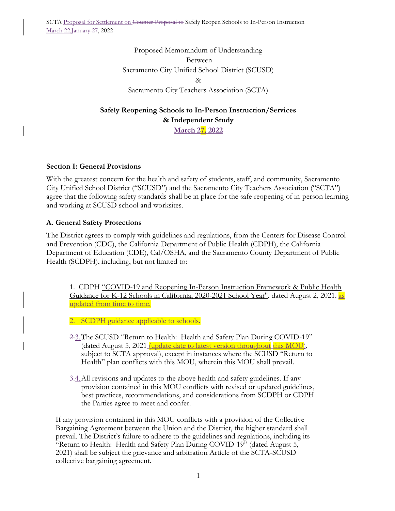Proposed Memorandum of Understanding Between Sacramento City Unified School District (SCUSD) & Sacramento City Teachers Association (SCTA)

# **Safely Reopening Schools to In-Person Instruction/Services & Independent Study March 27, 2022**

# **Section I: General Provisions**

With the greatest concern for the health and safety of students, staff, and community, Sacramento City Unified School District ("SCUSD") and the Sacramento City Teachers Association ("SCTA") agree that the following safety standards shall be in place for the safe reopening of in-person learning and working at SCUSD school and worksites.

### **A. General Safety Protections**

The District agrees to comply with guidelines and regulations, from the Centers for Disease Control and Prevention (CDC), the California Department of Public Health (CDPH), the California Department of Education (CDE), Cal/OSHA, and the Sacramento County Department of Public Health (SCDPH), including, but not limited to:

1. CDPH "COVID-19 and Reopening In-Person Instruction Framework & Public Health Guidance for K-12 Schools in California, 2020-2021 School Year", dated August 2, 2021. as updated from time to time.

2. SCDPH guidance applicable to schools.

- 2.3.The SCUSD "Return to Health: Health and Safety Plan During COVID-19" (dated August 5, 2021 *(update date to latest version throughout this MOU)*, subject to SCTA approval), except in instances where the SCUSD "Return to Health" plan conflicts with this MOU, wherein this MOU shall prevail.
- 3.4.All revisions and updates to the above health and safety guidelines. If any provision contained in this MOU conflicts with revised or updated guidelines, best practices, recommendations, and considerations from SCDPH or CDPH the Parties agree to meet and confer.

If any provision contained in this MOU conflicts with a provision of the Collective Bargaining Agreement between the Union and the District, the higher standard shall prevail. The District's failure to adhere to the guidelines and regulations, including its "Return to Health: Health and Safety Plan During COVID-19" (dated August 5, 2021) shall be subject the grievance and arbitration Article of the SCTA-SCUSD collective bargaining agreement.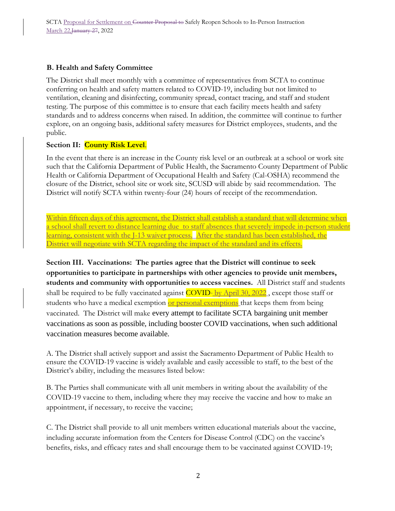### **B. Health and Safety Committee**

The District shall meet monthly with a committee of representatives from SCTA to continue conferring on health and safety matters related to COVID-19, including but not limited to ventilation, cleaning and disinfecting, community spread, contact tracing, and staff and student testing. The purpose of this committee is to ensure that each facility meets health and safety standards and to address concerns when raised. In addition, the committee will continue to further explore, on an ongoing basis, additional safety measures for District employees, students, and the public.

### **Section II: County Risk Level**.

In the event that there is an increase in the County risk level or an outbreak at a school or work site such that the California Department of Public Health, the Sacramento County Department of Public Health or California Department of Occupational Health and Safety (Cal-OSHA) recommend the closure of the District, school site or work site, SCUSD will abide by said recommendation. The District will notify SCTA within twenty-four (24) hours of receipt of the recommendation.

Within fifteen days of this agreement, the District shall establish a standard that will determine when a school shall revert to distance learning due to staff absences that severely impede in-person student learning, consistent with the J-13 waiver process. After the standard has been established, the District will negotiate with SCTA regarding the impact of the standard and its effects.

**Section III. Vaccinations: The parties agree that the District will continue to seek opportunities to participate in partnerships with other agencies to provide unit members, students and community with opportunities to access vaccines.** All District staff and students shall be required to be fully vaccinated against  $\overline{\text{COVID}}$ -by April 30, 2022, except those staff or students who have a medical exemption or personal exemptions that keeps them from being vaccinated. The District will make every attempt to facilitate SCTA bargaining unit member vaccinations as soon as possible, including booster COVID vaccinations, when such additional vaccination measures become available.

A. The District shall actively support and assist the Sacramento Department of Public Health to ensure the COVID-19 vaccine is widely available and easily accessible to staff, to the best of the District's ability, including the measures listed below:

B. The Parties shall communicate with all unit members in writing about the availability of the COVID-19 vaccine to them, including where they may receive the vaccine and how to make an appointment, if necessary, to receive the vaccine;

C. The District shall provide to all unit members written educational materials about the vaccine, including accurate information from the Centers for Disease Control (CDC) on the vaccine's benefits, risks, and efficacy rates and shall encourage them to be vaccinated against COVID-19;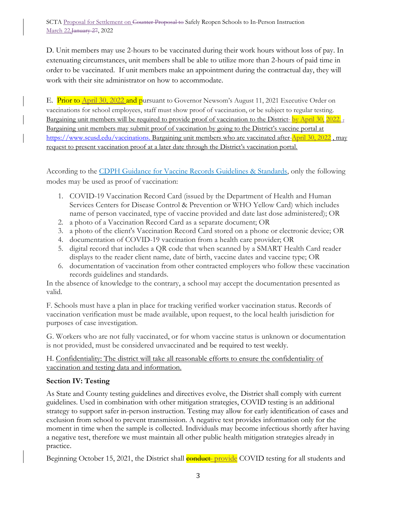D. Unit members may use 2-hours to be vaccinated during their work hours without loss of pay. In extenuating circumstances, unit members shall be able to utilize more than 2-hours of paid time in order to be vaccinated. If unit members make an appointment during the contractual day, they will work with their site administrator on how to accommodate.

E. Prior to April 30, 2022 and pursuant to Governor Newsom's August 11, 2021 Executive Order on vaccinations for school employees, staff must show proof of vaccination, or be subject to regular testing. Bargaining unit members will be required to provide proof of vaccination to the District-by April 30, 2022. Bargaining unit members may submit proof of vaccination by going to the District's vaccine portal at [https://www.scusd.edu/vaccinations.](https://www.scusd.edu/vaccinations) Bargaining unit members who are vaccinated after April 30, 2022, may request to present vaccination proof at a later date through the District's vaccination portal.

According to the [CDPH Guidance for Vaccine Records Guidelines & Standards,](https://www.cdph.ca.gov/Programs/CID/DCDC/Pages/COVID-19/Vaccine-Record-Guidelines-Standards.aspx) only the following modes may be used as proof of vaccination:

- 1. COVID-19 Vaccination Record Card (issued by the Department of Health and Human Services Centers for Disease Control & Prevention or WHO Yellow Card) which includes name of person vaccinated, type of vaccine provided and date last dose administered); OR
- 2. a photo of a Vaccination Record Card as a separate document; OR
- 3. a photo of the client's Vaccination Record Card stored on a phone or electronic device; OR
- 4. documentation of COVID-19 vaccination from a health care provider; OR
- 5. digital record that includes a QR code that when scanned by a SMART Health Card reader displays to the reader client name, date of birth, vaccine dates and vaccine type; OR
- 6. documentation of vaccination from other contracted employers who follow these vaccination records guidelines and standards.

In the absence of knowledge to the contrary, a school may accept the documentation presented as valid.

F. Schools must have a plan in place for tracking verified worker vaccination status. Records of vaccination verification must be made available, upon request, to the local health jurisdiction for purposes of case investigation.

G. Workers who are not fully vaccinated, or for whom vaccine status is unknown or documentation is not provided, must be considered unvaccinated and be required to test weekly.

H. Confidentiality: The district will take all reasonable efforts to ensure the confidentiality of vaccination and testing data and information.

# **Section IV: Testing**

As State and County testing guidelines and directives evolve, the District shall comply with current guidelines. Used in combination with other mitigation strategies, COVID testing is an additional strategy to support safer in-person instruction. Testing may allow for early identification of cases and exclusion from school to prevent transmission. A negative test provides information only for the moment in time when the sample is collected. Individuals may become infectious shortly after having a negative test, therefore we must maintain all other public health mitigation strategies already in practice.

Beginning October 15, 2021, the District shall **conduct** provide COVID testing for all students and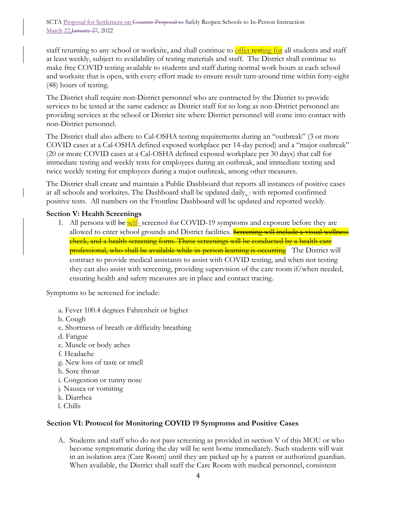staff returning to any school or worksite, and shall continue to offer testing for all students and staff at least weekly, subject to availability of testing materials and staff. The District shall continue to make free COVID testing available to students and staff during normal work hours at each school and worksite that is open, with every effort made to ensure result turn-around time within forty-eight (48) hours of testing.

The District shall require non-District personnel who are contracted by the District to provide services to be tested at the same cadence as District staff for so long as non-District personnel are providing services at the school or District site where District personnel will come into contact with non-District personnel.

The District shall also adhere to Cal-OSHA testing requirements during an "outbreak" (3 or more COVID cases at a Cal-OSHA defined exposed workplace per 14-day period) and a "major outbreak" (20 or more COVID cases at a Cal-OSHA defined exposed workplace per 30 days) that call for immediate testing and weekly tests for employees during an outbreak, and immediate testing and twice weekly testing for employees during a major outbreak, among other measures.

The District shall create and maintain a Public Dashboard that reports all instances of positive cases at all schools and worksites. The Dashboard shall be updated daily<sub>1</sub>- with reported confirmed positive tests. All numbers on the Frontline Dashboard will be updated and reported weekly.

#### **Section V: Health Screenings**

1. All persons will be **self**-screened for COVID-19 symptoms and exposure before they are allowed to enter school grounds and District facilities. Screening will include a visual wellness check, and a health screening form. These screenings will be conducted by a health care **professional, who shall be available while in-person learning is occurring** The District will contract to provide medical assistants to assist with COVID testing, and when not testing they can also assist with screening, providing supervision of the care room if/when needed, ensuring health and safety measures are in place and contact tracing.

Symptoms to be screened for include:

- a. Fever 100.4 degrees Fahrenheit or higher
- b. Cough
- c. Shortness of breath or difficulty breathing
- d. Fatigue
- e. Muscle or body aches
- f. Headache
- g. New loss of taste or smell
- h. Sore throat
- i. Congestion or runny nose
- j. Nausea or vomiting
- k. Diarrhea
- l. Chills

#### **Section VI: Protocol for Monitoring COVID 19 Symptoms and Positive Cases**

A. Students and staff who do not pass screening as provided in section V of this MOU or who become symptomatic during the day will be sent home immediately. Such students will wait in an isolation area (Care Room) until they are picked up by a parent or authorized guardian. When available, the District shall staff the Care Room with medical personnel, consistent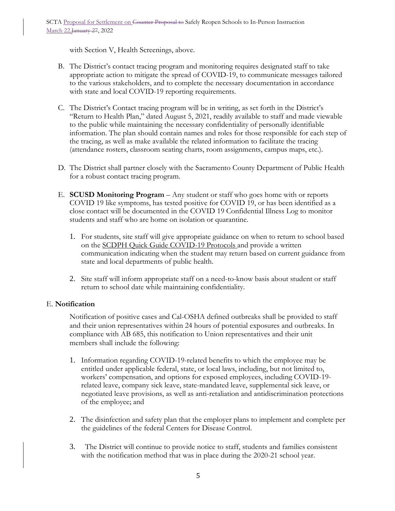with Section V, Health Screenings, above.

- B. The District's contact tracing program and monitoring requires designated staff to take appropriate action to mitigate the spread of COVID-19, to communicate messages tailored to the various stakeholders, and to complete the necessary documentation in accordance with state and local COVID-19 reporting requirements.
- C. The District's Contact tracing program will be in writing, as set forth in the District's "Return to Health Plan," dated August 5, 2021, readily available to staff and made viewable to the public while maintaining the necessary confidentiality of personally identifiable information. The plan should contain names and roles for those responsible for each step of the tracing, as well as make available the related information to facilitate the tracing (attendance rosters, classroom seating charts, room assignments, campus maps, etc.).
- D. The District shall partner closely with the Sacramento County Department of Public Health for a robust contact tracing program.
- E. **SCUSD Monitoring Program** Any student or staff who goes home with or reports COVID 19 like symptoms, has tested positive for COVID 19, or has been identified as a close contact will be documented in the COVID 19 Confidential Illness Log to monitor students and staff who are home on isolation or quarantine.
	- 1. For students, site staff will give appropriate guidance on when to return to school based on the SCDPH Quick Guide COVID-19 Protocols and provide a written communication indicating when the student may return based on current guidance from state and local departments of public health.
	- 2. Site staff will inform appropriate staff on a need-to-know basis about student or staff return to school date while maintaining confidentiality.

#### E. **Notification**

Notification of positive cases and Cal-OSHA defined outbreaks shall be provided to staff and their union representatives within 24 hours of potential exposures and outbreaks. In compliance with AB 685, this notification to Union representatives and their unit members shall include the following:

- 1. Information regarding COVID-19-related benefits to which the employee may be entitled under applicable federal, state, or local laws, including, but not limited to, workers' compensation, and options for exposed employees, including COVID-19 related leave, company sick leave, state-mandated leave, supplemental sick leave, or negotiated leave provisions, as well as anti-retaliation and antidiscrimination protections of the employee; and
- 2. The disinfection and safety plan that the employer plans to implement and complete per the guidelines of the federal Centers for Disease Control.
- 3. The District will continue to provide notice to staff, students and families consistent with the notification method that was in place during the 2020-21 school year.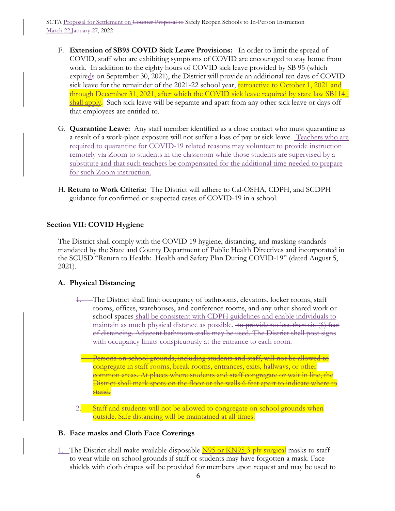- F. **Extension of SB95 COVID Sick Leave Provisions:** In order to limit the spread of COVID, staff who are exhibiting symptoms of COVID are encouraged to stay home from work. In addition to the eighty hours of COVID sick leave provided by SB 95 (which expireds on September 30, 2021), the District will provide an additional ten days of COVID sick leave for the remainder of the 2021-22 school year, retroactive to October 1, 2021 and through December 31, 2021, after which the COVID sick leave required by state law SB114\_ shall apply. Such sick leave will be separate and apart from any other sick leave or days off that employees are entitled to.
- G. **Quarantine Leave:** Any staff member identified as a close contact who must quarantine as a result of a work-place exposure will not suffer a loss of pay or sick leave. Teachers who are required to quarantine for COVID-19 related reasons may volunteer to provide instruction remotely via Zoom to students in the classroom while those students are supervised by a substitute and that such teachers be compensated for the additional time needed to prepare for such Zoom instruction.
- H. **Return to Work Criteria:** The District will adhere to Cal-OSHA, CDPH, and SCDPH guidance for confirmed or suspected cases of COVID-19 in a school.

# **Section VII: COVID Hygiene**

The District shall comply with the COVID 19 hygiene, distancing, and masking standards mandated by the State and County Department of Public Health Directives and incorporated in the SCUSD "Return to Health: Health and Safety Plan During COVID-19" (dated August 5, 2021).

#### **A. Physical Distancing**

- 1. The District shall limit occupancy of bathrooms, elevators, locker rooms, staff rooms, offices, warehouses, and conference rooms, and any other shared work or school spaces shall be consistent with CDPH guidelines and enable individuals to maintain as much physical distance as possible. to provide no less than six (6) feet of distancing. Adjacent bathroom stalls may be used. The District shall post signs with occupancy limits conspicuously at the entrance to each room.
	- Persons on school grounds, including students and staff, will not be allowed to congregate in staff rooms, break rooms, entrances, exits, hallways, or other common areas. At places where students and staff congregate or wait in line, the District shall mark spots on the floor or the walls 6 feet apart to indicate where to stand.

**2. Staff and students will not be allowed to congregate on school grounds when** outside. Safe distancing will be maintained at all times.

#### **B. Face masks and Cloth Face Coverings**

1. The District shall make available disposable N95 or KN95 3-ply surgical masks to staff to wear while on school grounds if staff or students may have forgotten a mask. Face shields with cloth drapes will be provided for members upon request and may be used to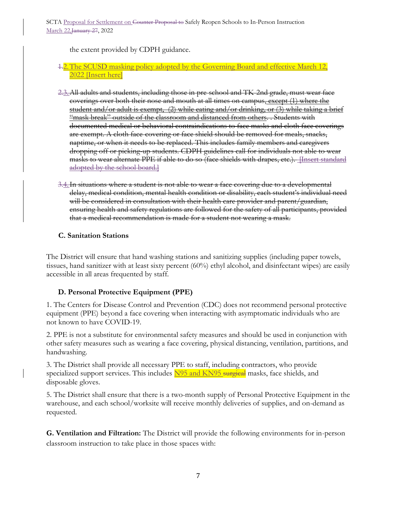the extent provided by CDPH guidance.

### 1.2. The SCUSD masking policy adopted by the Governing Board and effective March 12, 2022 [Insert here]

- 2.3.All adults and students, including those in pre-school and TK-2nd grade, must wear face coverings over both their nose and mouth at all times on campus, except (1) where the student and/or adult is exempt, (2) while eating and/or drinking, or (3) while taking a brief "mask break" outside of the classroom and distanced from others. . Students with documented medical or behavioral contraindications to face masks and cloth face coverings are exempt. A cloth face-covering or face shield should be removed for meals, snacks, naptime, or when it needs to be replaced. This includes family members and caregivers dropping off or picking-up students. CDPH guidelines call for individuals not able to wear masks to wear alternate PPE if able to do so (face shields with drapes, etc.). Insert standard adopted by the school board.
- 3.4. In situations where a student is not able to wear a face covering due to a developmental delay, medical condition, mental health condition or disability, each student's individual need will be considered in consultation with their health care provider and parent/guardian, ensuring health and safety regulations are followed for the safety of all participants, provided that a medical recommendation is made for a student not wearing a mask.

# **C. Sanitation Stations**

The District will ensure that hand washing stations and sanitizing supplies (including paper towels, tissues, hand sanitizer with at least sixty percent (60%) ethyl alcohol, and disinfectant wipes) are easily accessible in all areas frequented by staff.

# **D. Personal Protective Equipment (PPE)**

1. The Centers for Disease Control and Prevention (CDC) does not recommend personal protective equipment (PPE) beyond a face covering when interacting with asymptomatic individuals who are not known to have COVID-19.

2. PPE is not a substitute for environmental safety measures and should be used in conjunction with other safety measures such as wearing a face covering, physical distancing, ventilation, partitions, and handwashing.

3. The District shall provide all necessary PPE to staff, including contractors, who provide specialized support services. This includes N95 and KN95 surgical masks, face shields, and disposable gloves.

5. The District shall ensure that there is a two-month supply of Personal Protective Equipment in the warehouse, and each school/worksite will receive monthly deliveries of supplies, and on-demand as requested.

**G. Ventilation and Filtration:** The District will provide the following environments for in-person classroom instruction to take place in those spaces with: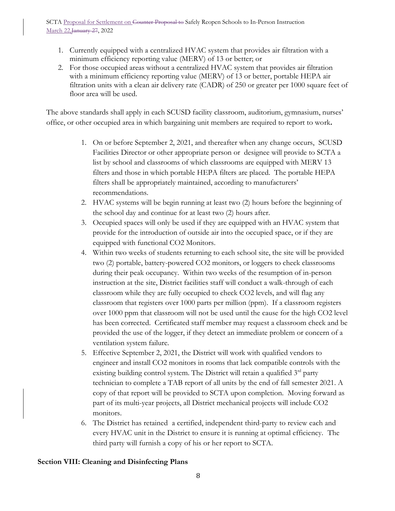- 1. Currently equipped with a centralized HVAC system that provides air filtration with a minimum efficiency reporting value (MERV) of 13 or better; or
- 2. For those occupied areas without a centralized HVAC system that provides air filtration with a minimum efficiency reporting value (MERV) of 13 or better, portable HEPA air filtration units with a clean air delivery rate (CADR) of 250 or greater per 1000 square feet of floor area will be used.

The above standards shall apply in each SCUSD facility classroom, auditorium, gymnasium, nurses' office, or other occupied area in which bargaining unit members are required to report to work**.**

- 1. On or before September 2, 2021, and thereafter when any change occurs, SCUSD Facilities Director or other appropriate person or designee will provide to SCTA a list by school and classrooms of which classrooms are equipped with MERV 13 filters and those in which portable HEPA filters are placed. The portable HEPA filters shall be appropriately maintained, according to manufacturers' recommendations.
- 2. HVAC systems will be begin running at least two (2) hours before the beginning of the school day and continue for at least two (2) hours after.
- 3. Occupied spaces will only be used if they are equipped with an HVAC system that provide for the introduction of outside air into the occupied space, or if they are equipped with functional CO2 Monitors.
- 4. Within two weeks of students returning to each school site, the site will be provided two (2) portable, battery-powered CO2 monitors, or loggers to check classrooms during their peak occupancy. Within two weeks of the resumption of in-person instruction at the site, District facilities staff will conduct a walk-through of each classroom while they are fully occupied to check CO2 levels, and will flag any classroom that registers over 1000 parts per million (ppm). If a classroom registers over 1000 ppm that classroom will not be used until the cause for the high CO2 level has been corrected. Certificated staff member may request a classroom check and be provided the use of the logger, if they detect an immediate problem or concern of a ventilation system failure.
- 5. Effective September 2, 2021, the District will work with qualified vendors to engineer and install CO2 monitors in rooms that lack compatible controls with the existing building control system. The District will retain a qualified 3<sup>rd</sup> party technician to complete a TAB report of all units by the end of fall semester 2021. A copy of that report will be provided to SCTA upon completion. Moving forward as part of its multi-year projects, all District mechanical projects will include CO2 monitors.
- 6. The District has retained a certified, independent third-party to review each and every HVAC unit in the District to ensure it is running at optimal efficiency. The third party will furnish a copy of his or her report to SCTA.

# **Section VIII: Cleaning and Disinfecting Plans**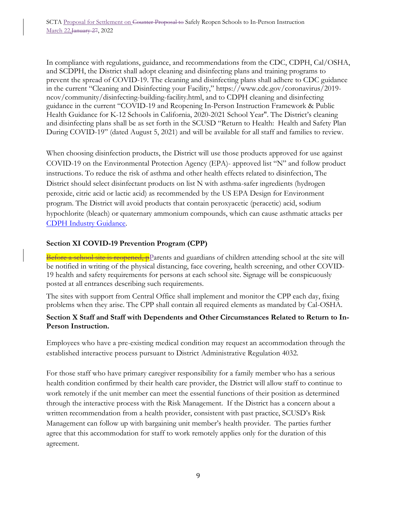In compliance with regulations, guidance, and recommendations from the CDC, CDPH, Cal/OSHA, and SCDPH, the District shall adopt cleaning and disinfecting plans and training programs to prevent the spread of COVID-19. The cleaning and disinfecting plans shall adhere to CDC guidance in the current "Cleaning and Disinfecting your Facility," https://www.cdc.gov/coronavirus/2019 ncov/community/disinfecting-building-facility.html, and to CDPH cleaning and disinfecting guidance in the current "COVID-19 and Reopening In-Person Instruction Framework & Public Health Guidance for K-12 Schools in California, 2020-2021 School Year". The District's cleaning and disinfecting plans shall be as set forth in the SCUSD "Return to Health: Health and Safety Plan During COVID-19" (dated August 5, 2021) and will be available for all staff and families to review.

When choosing disinfection products, the District will use those products approved for use against COVID-19 on the Environmental Protection Agency (EPA)- approved list "N" and follow product instructions. To reduce the risk of asthma and other health effects related to disinfection, The District should select disinfectant products on list N with asthma-safer ingredients (hydrogen peroxide, citric acid or lactic acid) as recommended by the US EPA Design for Environment program. The District will avoid products that contain peroxyacetic (peracetic) acid, sodium hypochlorite (bleach) or quaternary ammonium compounds, which can cause asthmatic attacks per [CDPH Industry Guidance.](https://www.cdph.ca.gov/Programs/CID/DCDC/CDPH%20Document%20Library/COVID-19/Consolidated_Schools_Guidance.pdf)

# **Section XI COVID-19 Prevention Program (CPP)**

Before a school site is reopened, pParents and guardians of children attending school at the site will be notified in writing of the physical distancing, face covering, health screening, and other COVID-19 health and safety requirements for persons at each school site. Signage will be conspicuously posted at all entrances describing such requirements.

The sites with support from Central Office shall implement and monitor the CPP each day, fixing problems when they arise. The CPP shall contain all required elements as mandated by Cal-OSHA.

# **Section X Staff and Staff with Dependents and Other Circumstances Related to Return to In-Person Instruction.**

Employees who have a pre-existing medical condition may request an accommodation through the established interactive process pursuant to District Administrative Regulation 4032.

For those staff who have primary caregiver responsibility for a family member who has a serious health condition confirmed by their health care provider, the District will allow staff to continue to work remotely if the unit member can meet the essential functions of their position as determined through the interactive process with the Risk Management. If the District has a concern about a written recommendation from a health provider, consistent with past practice, SCUSD's Risk Management can follow up with bargaining unit member's health provider. The parties further agree that this accommodation for staff to work remotely applies only for the duration of this agreement.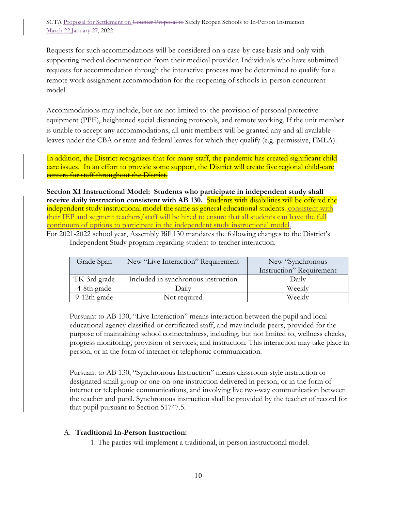Requests for such accommodations will be considered on a case-by-case basis and only with supporting medical documentation from their medical provider. Individuals who have submitted requests for accommodation through the interactive process may be determined to qualify for a remote work assignment accommodation for the reopening of schools in-person concurrent model.

Accommodations may include, but are not limited to: the provision of personal protective equipment (PPE), heightened social distancing protocols, and remote working. If the unit member is unable to accept any accommodations, all unit members will be granted any and all available leaves under the CBA or state and federal leaves for which they qualify (e.g. permissive, FMLA).

In addition, the District recognizes that for many staff, the pandemic has created significant child care issues. In an effort to provide some support, the District will create five regional child-care centers for staff throughout the District.

**Section XI Instructional Model: Students who participate in independent study shall receive daily instruction consistent with AB 130.** Students with disabilities will be offered the independent study instructional model the same as general educational students. consistent with their IEP and segment teachers/staff will be hired to ensure that all students can have the full continuum of options to participate in the independent study instructional model.

For 2021-2022 school year, Assembly Bill 130 mandates the following changes to the District's Independent Study program regarding student to teacher interaction.

| Grade Span   | New "Live Interaction" Requirement  | New "Synchronous"        |
|--------------|-------------------------------------|--------------------------|
|              |                                     | Instruction" Requirement |
| TK-3rd grade | Included in synchronous instruction | Daily                    |
| 4-8th grade  | Daily                               | Weekly                   |
| 9-12th grade | Not required                        | Weekly                   |

Pursuant to AB 130, "Live Interaction" means interaction between the pupil and local educational agency classified or certificated staff, and may include peers, provided for the purpose of maintaining school connectedness, including, but not limited to, wellness checks, progress monitoring, provision of services, and instruction. This interaction may take place in person, or in the form of internet or telephonic communication.

Pursuant to AB 130, "Synchronous Instruction" means classroom-style instruction or designated small group or one-on-one instruction delivered in person, or in the form of internet or telephonic communications, and involving live two-way communication between the teacher and pupil. Synchronous instruction shall be provided by the teacher of record for that pupil pursuant to Section 51747.5.

#### A. **Traditional In-Person Instruction:**

1. The parties will implement a traditional, in-person instructional model.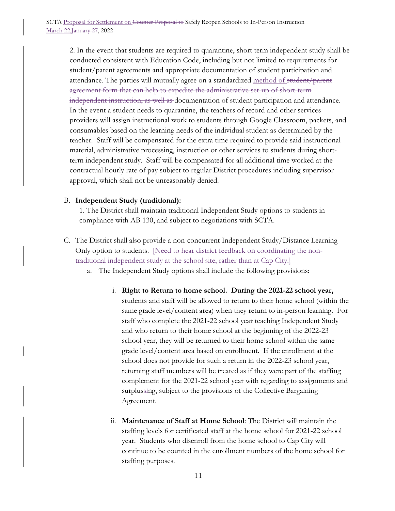2. In the event that students are required to quarantine, short term independent study shall be conducted consistent with Education Code, including but not limited to requirements for student/parent agreements and appropriate documentation of student participation and attendance. The parties will mutually agree on a standardized method of student/parent agreement form that can help to expedite the administrative set-up of short-term independent instruction, as well as documentation of student participation and attendance. In the event a student needs to quarantine, the teachers of record and other services providers will assign instructional work to students through Google Classroom, packets, and consumables based on the learning needs of the individual student as determined by the teacher. Staff will be compensated for the extra time required to provide said instructional material, administrative processing, instruction or other services to students during shortterm independent study. Staff will be compensated for all additional time worked at the contractual hourly rate of pay subject to regular District procedures including supervisor approval, which shall not be unreasonably denied.

#### B. **Independent Study (traditional):**

1. The District shall maintain traditional Independent Study options to students in compliance with AB 130, and subject to negotiations with SCTA.

- C. The District shall also provide a non-concurrent Independent Study/Distance Learning Only option to students. <del>[Need to hear district feedback on coordinating the non-</del> traditional independent study at the school site, rather than at Cap City.]
	- a. The Independent Study options shall include the following provisions:
		- i. **Right to Return to home school. During the 2021-22 school year,**  students and staff will be allowed to return to their home school (within the same grade level/content area) when they return to in-person learning. For staff who complete the 2021-22 school year teaching Independent Study and who return to their home school at the beginning of the 2022-23 school year, they will be returned to their home school within the same grade level/content area based on enrollment. If the enrollment at the school does not provide for such a return in the 2022-23 school year, returning staff members will be treated as if they were part of the staffing complement for the 2021-22 school year with regarding to assignments and surplussing, subject to the provisions of the Collective Bargaining Agreement.
		- ii. **Maintenance of Staff at Home School**: The District will maintain the staffing levels for certificated staff at the home school for 2021-22 school year. Students who disenroll from the home school to Cap City will continue to be counted in the enrollment numbers of the home school for staffing purposes.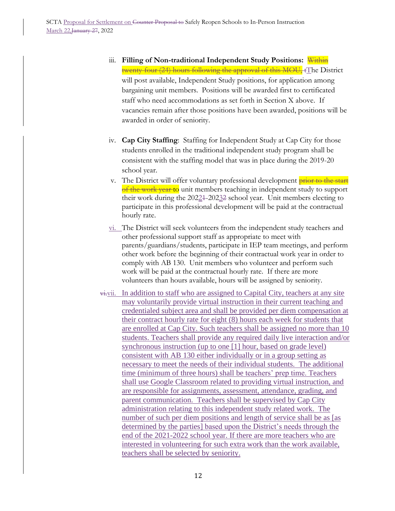- iii. **Filling of Non-traditional Independent Study Positions:** Within twenty-four (24) hours following the approval of this MOU, tThe District will post available, Independent Study positions, for application among bargaining unit members. Positions will be awarded first to certificated staff who need accommodations as set forth in Section X above. If vacancies remain after those positions have been awarded, positions will be awarded in order of seniority.
- iv. **Cap City Staffing**: Staffing for Independent Study at Cap City for those students enrolled in the traditional independent study program shall be consistent with the staffing model that was in place during the 2019-20 school year.
- v. The District will offer voluntary professional development **prior to the start** of the work year to unit members teaching in independent study to support their work during the 20221-20232 school year. Unit members electing to participate in this professional development will be paid at the contractual hourly rate.
- vi. The District will seek volunteers from the independent study teachers and other professional support staff as appropriate to meet with parents/guardians/students, participate in IEP team meetings, and perform other work before the beginning of their contractual work year in order to comply with AB 130. Unit members who volunteer and perform such work will be paid at the contractual hourly rate. If there are more volunteers than hours available, hours will be assigned by seniority.
- $\overrightarrow{v}$ . In addition to staff who are assigned to Capital City, teachers at any site may voluntarily provide virtual instruction in their current teaching and credentialed subject area and shall be provided per diem compensation at their contract hourly rate for eight (8) hours each week for students that are enrolled at Cap City. Such teachers shall be assigned no more than 10 students. Teachers shall provide any required daily live interaction and/or synchronous instruction (up to one [1] hour, based on grade level) consistent with AB 130 either individually or in a group setting as necessary to meet the needs of their individual students. The additional time (minimum of three hours) shall be teachers' prep time. Teachers shall use Google Classroom related to providing virtual instruction, and are responsible for assignments, assessment, attendance, grading, and parent communication. Teachers shall be supervised by Cap City administration relating to this independent study related work. The number of such per diem positions and length of service shall be as [as determined by the parties] based upon the District's needs through the end of the 2021-2022 school year. If there are more teachers who are interested in volunteering for such extra work than the work available, teachers shall be selected by seniority.